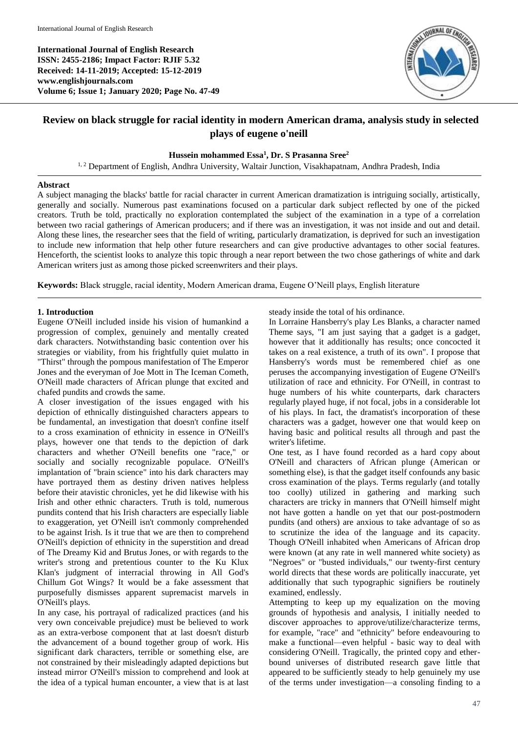**International Journal of English Research ISSN: 2455-2186; Impact Factor: RJIF 5.32 Received: 14-11-2019; Accepted: 15-12-2019 www.englishjournals.com Volume 6; Issue 1; January 2020; Page No. 47-49**



# **Review on black struggle for racial identity in modern American drama, analysis study in selected plays of eugene o'neill**

### **Hussein mohammed Essa<sup>1</sup> , Dr. S Prasanna Sree<sup>2</sup>**

<sup>1, 2</sup> Department of English, Andhra University, Waltair Junction, Visakhapatnam, Andhra Pradesh, India

#### **Abstract**

A subject managing the blacks' battle for racial character in current American dramatization is intriguing socially, artistically, generally and socially. Numerous past examinations focused on a particular dark subject reflected by one of the picked creators. Truth be told, practically no exploration contemplated the subject of the examination in a type of a correlation between two racial gatherings of American producers; and if there was an investigation, it was not inside and out and detail. Along these lines, the researcher sees that the field of writing, particularly dramatization, is deprived for such an investigation to include new information that help other future researchers and can give productive advantages to other social features. Henceforth, the scientist looks to analyze this topic through a near report between the two chose gatherings of white and dark American writers just as among those picked screenwriters and their plays.

**Keywords:** Black struggle, racial identity, Modern American drama, Eugene O'Neill plays, English literature

#### **1. Introduction**

Eugene O'Neill included inside his vision of humankind a progression of complex, genuinely and mentally created dark characters. Notwithstanding basic contention over his strategies or viability, from his frightfully quiet mulatto in "Thirst" through the pompous manifestation of The Emperor Jones and the everyman of Joe Mott in The Iceman Cometh, O'Neill made characters of African plunge that excited and chafed pundits and crowds the same.

A closer investigation of the issues engaged with his depiction of ethnically distinguished characters appears to be fundamental, an investigation that doesn't confine itself to a cross examination of ethnicity in essence in O'Neill's plays, however one that tends to the depiction of dark characters and whether O'Neill benefits one "race," or socially and socially recognizable populace. O'Neill's implantation of "brain science" into his dark characters may have portrayed them as destiny driven natives helpless before their atavistic chronicles, yet he did likewise with his Irish and other ethnic characters. Truth is told, numerous pundits contend that his Irish characters are especially liable to exaggeration, yet O'Neill isn't commonly comprehended to be against Irish. Is it true that we are then to comprehend O'Neill's depiction of ethnicity in the superstition and dread of The Dreamy Kid and Brutus Jones, or with regards to the writer's strong and pretentious counter to the Ku Klux Klan's judgment of interracial throwing in All God's Chillum Got Wings? It would be a fake assessment that purposefully dismisses apparent supremacist marvels in O'Neill's plays.

In any case, his portrayal of radicalized practices (and his very own conceivable prejudice) must be believed to work as an extra-verbose component that at last doesn't disturb the advancement of a bound together group of work. His significant dark characters, terrible or something else, are not constrained by their misleadingly adapted depictions but instead mirror O'Neill's mission to comprehend and look at the idea of a typical human encounter, a view that is at last steady inside the total of his ordinance.

In Lorraine Hansberry's play Les Blanks, a character named Theme says, "I am just saying that a gadget is a gadget, however that it additionally has results; once concocted it takes on a real existence, a truth of its own". I propose that Hansberry's words must be remembered chief as one peruses the accompanying investigation of Eugene O'Neill's utilization of race and ethnicity. For O'Neill, in contrast to huge numbers of his white counterparts, dark characters regularly played huge, if not focal, jobs in a considerable lot of his plays. In fact, the dramatist's incorporation of these characters was a gadget, however one that would keep on having basic and political results all through and past the writer's lifetime.

One test, as I have found recorded as a hard copy about O'Neill and characters of African plunge (American or something else), is that the gadget itself confounds any basic cross examination of the plays. Terms regularly (and totally too coolly) utilized in gathering and marking such characters are tricky in manners that O'Neill himself might not have gotten a handle on yet that our post-postmodern pundits (and others) are anxious to take advantage of so as to scrutinize the idea of the language and its capacity. Though O'Neill inhabited when Americans of African drop were known (at any rate in well mannered white society) as "Negroes" or "busted individuals," our twenty-first century world directs that these words are politically inaccurate, yet additionally that such typographic signifiers be routinely examined, endlessly.

Attempting to keep up my equalization on the moving grounds of hypothesis and analysis, I initially needed to discover approaches to approve/utilize/characterize terms, for example, "race" and "ethnicity" before endeavouring to make a functional—even helpful - basic way to deal with considering O'Neill. Tragically, the printed copy and etherbound universes of distributed research gave little that appeared to be sufficiently steady to help genuinely my use of the terms under investigation—a consoling finding to a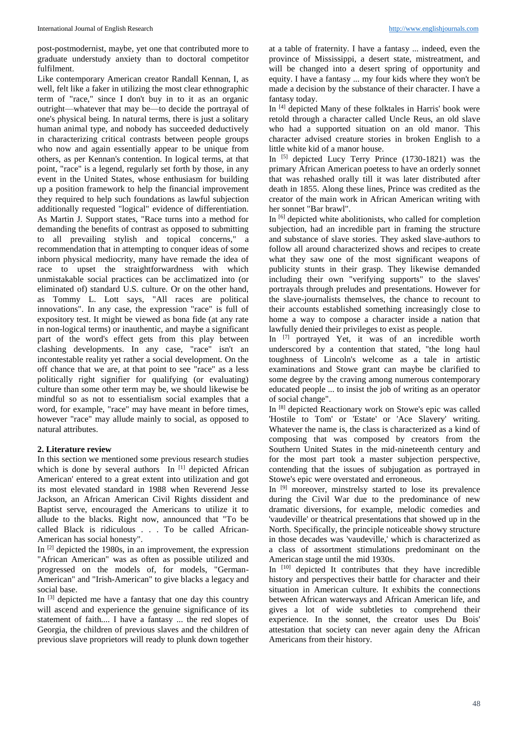post-postmodernist, maybe, yet one that contributed more to graduate understudy anxiety than to doctoral competitor fulfilment.

Like contemporary American creator Randall Kennan, I, as well, felt like a faker in utilizing the most clear ethnographic term of "race," since I don't buy in to it as an organic outright—whatever that may be—to decide the portrayal of one's physical being. In natural terms, there is just a solitary human animal type, and nobody has succeeded deductively in characterizing critical contrasts between people groups who now and again essentially appear to be unique from others, as per Kennan's contention. In logical terms, at that point, "race" is a legend, regularly set forth by those, in any event in the United States, whose enthusiasm for building up a position framework to help the financial improvement they required to help such foundations as lawful subjection additionally requested "logical" evidence of differentiation. As Martin J. Support states, "Race turns into a method for demanding the benefits of contrast as opposed to submitting to all prevailing stylish and topical concerns," a recommendation that in attempting to conquer ideas of some inborn physical mediocrity, many have remade the idea of race to upset the straightforwardness with which unmistakable social practices can be acclimatized into (or eliminated of) standard U.S. culture. Or on the other hand, as Tommy L. Lott says, "All races are political innovations". In any case, the expression "race" is full of expository test. It might be viewed as bona fide (at any rate in non-logical terms) or inauthentic, and maybe a significant part of the word's effect gets from this play between clashing developments. In any case, "race" isn't an incontestable reality yet rather a social development. On the off chance that we are, at that point to see "race" as a less politically right signifier for qualifying (or evaluating) culture than some other term may be, we should likewise be mindful so as not to essentialism social examples that a word, for example, "race" may have meant in before times, however "race" may allude mainly to social, as opposed to natural attributes.

#### **2. Literature review**

In this section we mentioned some previous research studies which is done by several authors In<sup>[1]</sup> depicted African American' entered to a great extent into utilization and got its most elevated standard in 1988 when Reverend Jesse Jackson, an African American Civil Rights dissident and Baptist serve, encouraged the Americans to utilize it to allude to the blacks. Right now, announced that "To be called Black is ridiculous . . . To be called African-American has social honesty".

In [2] depicted the 1980s, in an improvement, the expression "African American" was as often as possible utilized and progressed on the models of, for models, "German-American" and "Irish-American" to give blacks a legacy and social base.

In [3] depicted me have a fantasy that one day this country will ascend and experience the genuine significance of its statement of faith.... I have a fantasy ... the red slopes of Georgia, the children of previous slaves and the children of previous slave proprietors will ready to plunk down together

at a table of fraternity. I have a fantasy ... indeed, even the province of Mississippi, a desert state, mistreatment, and will be changed into a desert spring of opportunity and equity. I have a fantasy ... my four kids where they won't be made a decision by the substance of their character. I have a fantasy today.

In [4] depicted Many of these folktales in Harris' book were retold through a character called Uncle Reus, an old slave who had a supported situation on an old manor. This character advised creature stories in broken English to a little white kid of a manor house.

In [5] depicted Lucy Terry Prince (1730-1821) was the primary African American poetess to have an orderly sonnet that was rehashed orally till it was later distributed after death in 1855. Along these lines, Prince was credited as the creator of the main work in African American writing with her sonnet "Bar brawl".

In [6] depicted white abolitionists, who called for completion subjection, had an incredible part in framing the structure and substance of slave stories. They asked slave-authors to follow all around characterized shows and recipes to create what they saw one of the most significant weapons of publicity stunts in their grasp. They likewise demanded including their own "verifying supports" to the slaves' portrayals through preludes and presentations. However for the slave-journalists themselves, the chance to recount to their accounts established something increasingly close to home a way to compose a character inside a nation that lawfully denied their privileges to exist as people.

In [7] portrayed Yet, it was of an incredible worth underscored by a contention that stated, "the long haul toughness of Lincoln's welcome as a tale in artistic examinations and Stowe grant can maybe be clarified to some degree by the craving among numerous contemporary educated people ... to insist the job of writing as an operator of social change".

In [8] depicted Reactionary work on Stowe's epic was called 'Hostile to Tom' or 'Estate' or 'Ace Slavery' writing. Whatever the name is, the class is characterized as a kind of composing that was composed by creators from the Southern United States in the mid-nineteenth century and for the most part took a master subjection perspective, contending that the issues of subjugation as portrayed in Stowe's epic were overstated and erroneous.

In [9] moreover, minstrelsy started to lose its prevalence during the Civil War due to the predominance of new dramatic diversions, for example, melodic comedies and 'vaudeville' or theatrical presentations that showed up in the North. Specifically, the principle noticeable showy structure in those decades was 'vaudeville,' which is characterized as a class of assortment stimulations predominant on the American stage until the mid 1930s.

In  $[10]$  depicted It contributes that they have incredible history and perspectives their battle for character and their situation in American culture. It exhibits the connections between African waterways and African American life, and gives a lot of wide subtleties to comprehend their experience. In the sonnet, the creator uses Du Bois' attestation that society can never again deny the African Americans from their history.